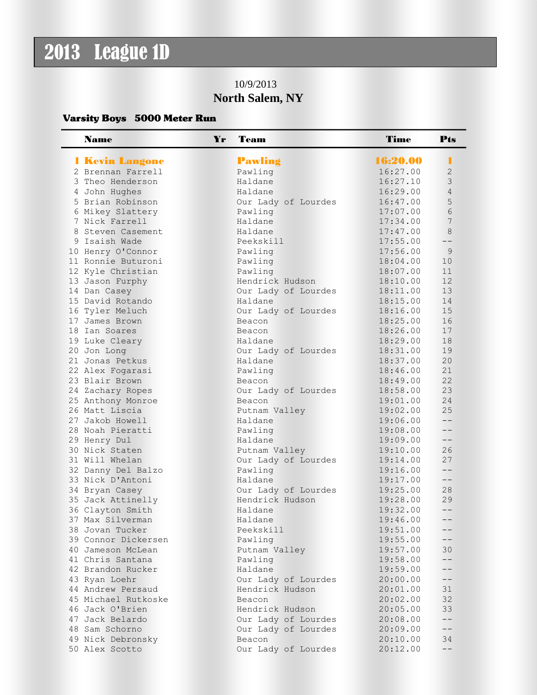## 2013 League 1D

## 10/9/2013 **North Salem, NY**

## Varsity Boys 5000 Meter Run

| <b>Name</b>                            | Yr | Team                                   | <b>Time</b>          | Pts               |
|----------------------------------------|----|----------------------------------------|----------------------|-------------------|
| 1 Kevin Langone                        |    | Pawling                                | 16:20.00             | П                 |
| 2 Brennan Farrell                      |    | Pawling                                | 16:27.00             | $\overline{c}$    |
| 3 Theo Henderson                       |    | Haldane                                | 16:27.10             | 3                 |
| 4 John Hughes                          |    | Haldane                                | 16:29.00             | $\overline{4}$    |
| 5 Brian Robinson                       |    | Our Lady of Lourdes                    | 16:47.00             | 5                 |
| 6 Mikey Slattery                       |    | Pawling                                | 17:07.00             | 6                 |
| 7 Nick Farrell                         |    | Haldane                                | 17:34.00             | 7                 |
| 8 Steven Casement                      |    | Haldane                                | 17:47.00             | 8                 |
| 9 Isaish Wade                          |    | Peekskill                              | 17:55.00             | $ -$              |
| 10 Henry O'Connor                      |    | Pawling                                | 17:56.00             | $\overline{9}$    |
| 11 Ronnie Buturoni                     |    | Pawling                                | 18:04.00             | 10                |
| 12 Kyle Christian                      |    | Pawling                                | 18:07.00             | 11                |
| 13 Jason Furphy                        |    | Hendrick Hudson                        | 18:10.00             | 12                |
| 14 Dan Casey                           |    | Our Lady of Lourdes                    | 18:11.00             | 13                |
| 15 David Rotando                       |    | Haldane                                | 18:15.00             | 14                |
| 16 Tyler Meluch                        |    | Our Lady of Lourdes                    | 18:16.00             | 15                |
| 17 James Brown                         |    | Beacon                                 | 18:25.00             | 16                |
| 18 Ian Soares                          |    | Beacon                                 | 18:26.00             | 17                |
| 19 Luke Cleary                         |    | Haldane                                | 18:29.00             | 18                |
| 20 Jon Long                            |    | Our Lady of Lourdes                    | 18:31.00             | 19                |
| 21 Jonas Petkus                        |    | Haldane                                | 18:37.00             | 20                |
| 22 Alex Fogarasi                       |    | Pawling                                | 18:46.00             | 21                |
| 23 Blair Brown                         |    | Beacon                                 | 18:49.00             | 22                |
| 24 Zachary Ropes                       |    | Our Lady of Lourdes                    | 18:58.00             | 23                |
| 25 Anthony Monroe                      |    | Beacon                                 | 19:01.00             | 24                |
| 26 Matt Liscia                         |    | Putnam Valley                          | 19:02.00             | 25                |
| 27 Jakob Howell                        |    | Haldane                                | 19:06.00             | $- -$             |
| 28 Noah Pieratti                       |    | Pawling                                | 19:08.00             | $- -$             |
| 29 Henry Dul                           |    | Haldane                                | 19:09.00             | $- -$             |
| 30 Nick Staten                         |    | Putnam Valley                          | 19:10.00             | 26                |
| 31 Will Whelan                         |    | Our Lady of Lourdes                    | 19:14.00             | 27                |
| 32 Danny Del Balzo                     |    | Pawling                                | 19:16.00             | $- -$             |
| 33 Nick D'Antoni                       |    | Haldane                                | 19:17.00             | $- -$             |
| 34 Bryan Casey                         |    | Our Lady of Lourdes<br>Hendrick Hudson | 19:25.00             | 28                |
| 35 Jack Attinelly                      |    | Haldane                                | 19:28.00<br>19:32.00 | 29<br>$- -$       |
| 36 Clayton Smith                       |    |                                        |                      | $- -$             |
| 37 Max Silverman                       |    | Haldane<br>Peekskill                   | 19:46.00             |                   |
| 38 Jovan Tucker<br>39 Connor Dickersen |    |                                        | 19:51.00             | --<br>--          |
| 40 Jameson McLean                      |    | Pawling                                | 19:55.00             |                   |
| 41 Chris Santana                       |    | Putnam Valley                          | 19:57.00<br>19:58.00 | 30<br>--          |
| 42 Brandon Rucker                      |    | Pawling<br>Haldane                     | 19:59.00             |                   |
| 43 Ryan Loehr                          |    | Our Lady of Lourdes                    | 20:00.00             | $--$              |
| 44 Andrew Persaud                      |    | Hendrick Hudson                        | 20:01.00             | 31                |
| 45 Michael Rutkoske                    |    | Beacon                                 | 20:02.00             | 32                |
| 46 Jack O'Brien                        |    | Hendrick Hudson                        | 20:05.00             | 33                |
| 47 Jack Belardo                        |    | Our Lady of Lourdes                    | 20:08.00             | $--$              |
| 48 Sam Schorno                         |    | Our Lady of Lourdes                    | 20:09.00             | $\qquad \qquad -$ |
| 49 Nick Debronsky                      |    | Beacon                                 | 20:10.00             | 34                |
| 50 Alex Scotto                         |    | Our Lady of Lourdes                    | 20:12.00             | $\qquad \qquad -$ |
|                                        |    |                                        |                      |                   |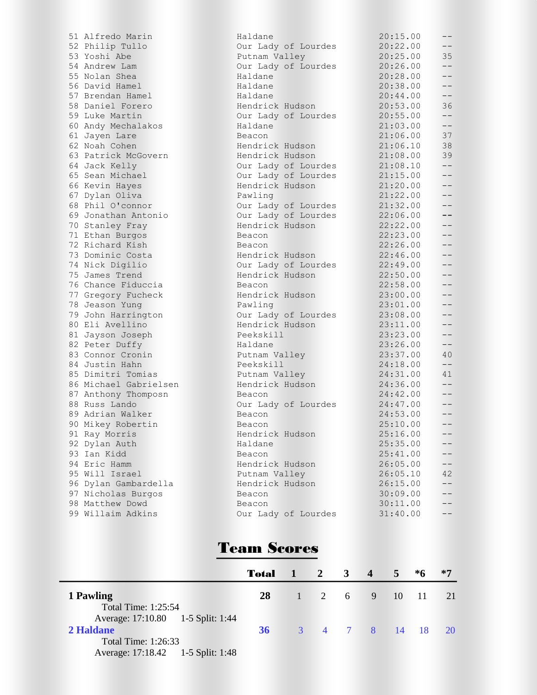51 Alfredo Marin 52 Philip Tullo 53 Yoshi Abe 54 Andrew Lam 55 Nolan Shea 56 David Hamel 57 Brendan Hamel 58 Daniel Forero 59 Luke Martin 60 Andy Mechalakos 61 Jayen Lare 62 Noah Cohen 63 Patrick McGovern 64 Jack Kelly 65 Sean Michael 66 Kevin Hayes 67 Dylan Oliva 68 Phil O'connor 69 Jonathan Antonio 70 Stanley Fray 71 Ethan Burgos 72 Richard Kish 73 Dominic Costa 74 Nick Digilio 75 James Trend 76 Chance Fiduccia 77 Gregory Fucheck 78 Jeason Yung 79 John Harrington 80 Eli Avellino 81 Jayson Joseph 82 Peter Duffy 83 Connor Cronin 84 Justin Hahn 85 Dimitri Tomias 86 Michael Gabrielsen 87 Anthony Thomposn 88 Russ Lando 89 Adrian Walker 90 Mikey Robertin 91 Ray Morris 92 Dylan Auth 93 Ian Kidd 94 Eric Hamm 95 Will Israel 96 Dylan Gambardella 97 Nicholas Burgos 98 Matthew Dowd 99 Willaim Adkins

| Haldane             | 20:15.00 | -- |
|---------------------|----------|----|
| Our Lady of Lourdes | 20:22.00 | -- |
| Putnam Valley       | 20:25.00 | 35 |
| Our Lady of Lourdes | 20:26.00 | -- |
| Haldane             | 20:28.00 | -- |
| Haldane             | 20:38.00 | -- |
| Haldane             | 20:44.00 | -- |
| Hendrick Hudson     | 20:53.00 | 36 |
| Our Lady of Lourdes | 20:55.00 | -- |
| Haldane             | 21:03.00 | -- |
| Beacon              | 21:06.00 | 37 |
| Hendrick Hudson     | 21:06.10 | 38 |
| Hendrick Hudson     | 21:08.00 | 39 |
| Our Lady of Lourdes | 21:08.10 | -- |
| Our Lady of Lourdes | 21:15.00 | -- |
| Hendrick Hudson     | 21:20.00 | -- |
| Pawling             | 21:22.00 | -- |
| Our Lady of Lourdes | 21:32.00 | -- |
| Our Lady of Lourdes | 22:06.00 | -- |
| Hendrick Hudson     | 22:22.00 | -- |
| Beacon              | 22:23.00 | -- |
| Beacon              | 22:26.00 | -- |
| Hendrick Hudson     | 22:46.00 | -- |
| Our Lady of Lourdes | 22:49.00 | -- |
| Hendrick Hudson     | 22:50.00 | -- |
| Beacon              | 22:58.00 | -- |
| Hendrick Hudson     | 23:00.00 | -- |
| Pawling             | 23:01.00 | -- |
| Our Lady of Lourdes | 23:08.00 | -- |
| Hendrick Hudson     | 23:11.00 | -- |
| Peekskill           | 23:23.00 | -- |
| Haldane             | 23:26.00 | -- |
| Putnam Valley       | 23:37.00 | 40 |
| Peekskill           | 24:18.00 | -- |
| Putnam Valley       | 24:31.00 | 41 |
| Hendrick Hudson     | 24:36.00 | -- |
| Beacon              | 24:42.00 | -- |
| Our Lady of Lourdes | 24:47.00 | -- |
| Beacon              | 24:53.00 | -- |
| Beacon              | 25:10.00 | -- |
| Hendrick Hudson     | 25:16.00 |    |
| Haldane             | 25:35.00 |    |
| Beacon              | 25:41.00 |    |
| Hendrick Hudson     | 26:05.00 |    |
| Putnam Valley       | 26:05.10 | 42 |
| Hendrick Hudson     | 26:15.00 | -- |
| Beacon              | 30:09.00 |    |
| Beacon              | 30:11.00 |    |
| Our Lady of Lourdes | 31:40.00 |    |
|                     |          |    |

## Team Scores

|                                                                 | <b>Total</b> 1 2 3 4 |               |                  |  | 5 <sup>1</sup> | *6 | $*7$ |
|-----------------------------------------------------------------|----------------------|---------------|------------------|--|----------------|----|------|
| 1 Pawling                                                       | <b>28</b>            | 1 2 6 9 10 11 |                  |  |                |    | 21   |
| <b>Total Time: 1:25:54</b><br>Average: 17:10.80 1-5 Split: 1:44 |                      |               |                  |  |                |    |      |
| 2 Haldane                                                       | 36 <sup>1</sup>      |               | 3 4 7 8 14 18 20 |  |                |    |      |
| Total Time: 1:26:33                                             |                      |               |                  |  |                |    |      |
| Average: 17:18.42 1-5 Split: 1:48                               |                      |               |                  |  |                |    |      |